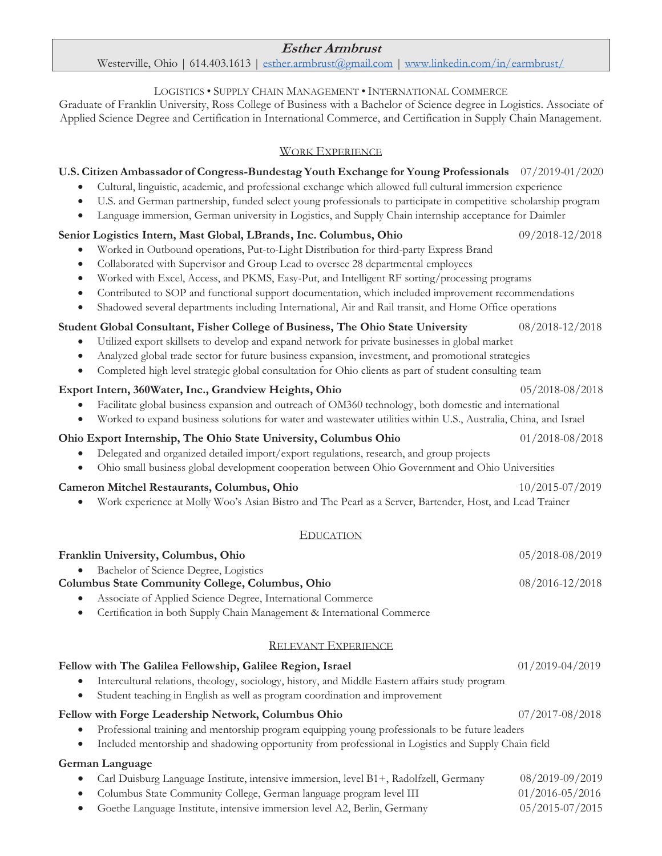# **Esther Armbrust**

#### Westerville, Ohio | 614.403.1613 | esther.armbrust@gmail.com | www.linkedin.com/in/earmbrust/

#### LOGISTICS • SUPPLY CHAIN MANAGEMENT • INTERNATIONAL COMMERCE

Graduate of Franklin University, Ross College of Business with a Bachelor of Science degree in Logistics. Associate of Applied Science Degree and Certification in International Commerce, and Certification in Supply Chain Management.

#### WORK EXPERIENCE

# **U.S. Citizen Ambassador of Congress-Bundestag Youth Exchange for Young Professionals** 07/2019-01/2020

- Cultural, linguistic, academic, and professional exchange which allowed full cultural immersion experience
- U.S. and German partnership, funded select young professionals to participate in competitive scholarship program
- Language immersion, German university in Logistics, and Supply Chain internship acceptance for Daimler

## **Senior Logistics Intern, Mast Global, LBrands, Inc. Columbus, Ohio** 09/2018-12/2018

- x Worked in Outbound operations, Put-to-Light Distribution for third-party Express Brand
- Collaborated with Supervisor and Group Lead to oversee 28 departmental employees
- x Worked with Excel, Access, and PKMS, Easy-Put, and Intelligent RF sorting/processing programs
- Contributed to SOP and functional support documentation, which included improvement recommendations
- Shadowed several departments including International, Air and Rail transit, and Home Office operations

## **Student Global Consultant, Fisher College of Business, The Ohio State University** 08/2018-12/2018

- x Utilized export skillsets to develop and expand network for private businesses in global market
- x Analyzed global trade sector for future business expansion, investment, and promotional strategies
- Completed high level strategic global consultation for Ohio clients as part of student consulting team

#### **Export Intern, 360Water, Inc., Grandview Heights, Ohio** 05/2018-08/2018

- Facilitate global business expansion and outreach of OM360 technology, both domestic and international
- x Worked to expand business solutions for water and wastewater utilities within U.S., Australia, China, and Israel

#### **Ohio Export Internship, The Ohio State University, Columbus Ohio** 01/2018-08/2018

- Delegated and organized detailed import/export regulations, research, and group projects
- x Ohio small business global development cooperation between Ohio Government and Ohio Universities

#### **Cameron Mitchel Restaurants, Columbus, Ohio** 10/2015-07/2019

x Work experience at Molly Woo's Asian Bistro and The Pearl as a Server, Bartender, Host, and Lead Trainer

#### EDUCATION

# **Franklin University, Columbus, Ohio** 05/2018-08/2019 Bachelor of Science Degree, Logistics **Columbus State Community College, Columbus, Ohio** 08/2016-12/2018 Associate of Applied Science Degree, International Commerce x Certification in both Supply Chain Management & International Commerce RELEVANT EXPERIENCE **Fellow with The Galilea Fellowship, Galilee Region, Israel** 01/2019-04/2019 • Intercultural relations, theology, sociology, history, and Middle Eastern affairs study program Student teaching in English as well as program coordination and improvement **Fellow with Forge Leadership Network, Columbus Ohio** 07/2017-08/2018 Professional training and mentorship program equipping young professionals to be future leaders

• Included mentorship and shadowing opportunity from professional in Logistics and Supply Chain field

#### **German Language**

- x Carl Duisburg Language Institute, intensive immersion, level B1+, Radolfzell, Germany08/2019-09/2019
- x Columbus State Community College, German language program level III 01/2016-05/2016
- Goethe Language Institute, intensive immersion level A2, Berlin, Germany 05/2015-07/2015